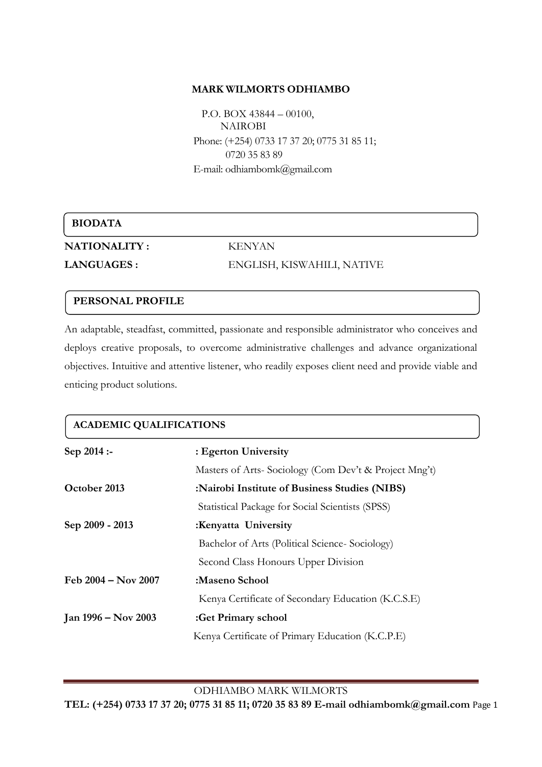#### **MARK WILMORTS ODHIAMBO**

 P.O. BOX 43844 – 00100, NAIROBI Phone: (+254) 0733 17 37 20; 0775 31 85 11; 0720 35 83 89 E-mail: odhiambom[k@gmail.com](mailto:odhiambowuor@yahoo.com)

## **BIODATA**

**NATIONALITY :** KENYAN

**LANGUAGES :** ENGLISH, KISWAHILI, NATIVE

## **PERSONAL PROFILE**

An adaptable, steadfast, committed, passionate and responsible administrator who conceives and deploys creative proposals, to overcome administrative challenges and advance organizational objectives. Intuitive and attentive listener, who readily exposes client need and provide viable and enticing product solutions.

| <b>ACADEMIC QUALIFICATIONS</b> |                                                       |  |
|--------------------------------|-------------------------------------------------------|--|
| $Sep 2014: -$                  | : Egerton University                                  |  |
|                                | Masters of Arts-Sociology (Com Dev't & Project Mng't) |  |
| October 2013                   | :Nairobi Institute of Business Studies (NIBS)         |  |
|                                | Statistical Package for Social Scientists (SPSS)      |  |
| Sep 2009 - 2013                | :Kenyatta University                                  |  |
|                                | Bachelor of Arts (Political Science-Sociology)        |  |
|                                | Second Class Honours Upper Division                   |  |
| Feb 2004 – Nov 2007            | :Maseno School                                        |  |
|                                | Kenya Certificate of Secondary Education (K.C.S.E)    |  |
| Jan 1996 – Nov 2003            | :Get Primary school                                   |  |
|                                | Kenya Certificate of Primary Education (K.C.P.E)      |  |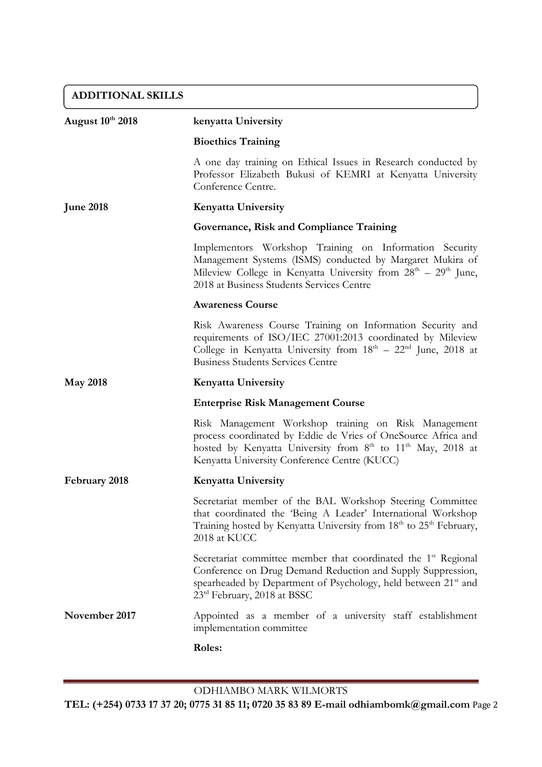# **ADDITIONAL SKILLS**

| <b>August 10th 2018</b> | kenyatta University                                                                                                                                                                                                                                          |
|-------------------------|--------------------------------------------------------------------------------------------------------------------------------------------------------------------------------------------------------------------------------------------------------------|
|                         | <b>Bioethics Training</b>                                                                                                                                                                                                                                    |
|                         | A one day training on Ethical Issues in Research conducted by<br>Professor Elizabeth Bukusi of KEMRI at Kenyatta University<br>Conference Centre.                                                                                                            |
| <b>June 2018</b>        | <b>Kenyatta University</b>                                                                                                                                                                                                                                   |
|                         | Governance, Risk and Compliance Training                                                                                                                                                                                                                     |
|                         | Implementors Workshop Training on Information Security<br>Management Systems (ISMS) conducted by Margaret Mukira of<br>Mileview College in Kenyatta University from $28th - 29th$ June,<br>2018 at Business Students Services Centre                         |
|                         | <b>Awareness Course</b>                                                                                                                                                                                                                                      |
|                         | Risk Awareness Course Training on Information Security and<br>requirements of ISO/IEC 27001:2013 coordinated by Mileview<br>College in Kenyatta University from $18th - 22nd$ June, 2018 at<br><b>Business Students Services Centre</b>                      |
| <b>May 2018</b>         | <b>Kenyatta University</b>                                                                                                                                                                                                                                   |
|                         | <b>Enterprise Risk Management Course</b>                                                                                                                                                                                                                     |
|                         | Risk Management Workshop training on Risk Management<br>process coordinated by Eddie de Vries of OneSource Africa and<br>hosted by Kenyatta University from 8 <sup>th</sup> to 11 <sup>th</sup> May, 2018 at<br>Kenyatta University Conference Centre (KUCC) |
| February 2018           | Kenyatta University                                                                                                                                                                                                                                          |
|                         | Secretariat member of the BAL Workshop Steering Committee<br>that coordinated the 'Being A Leader' International Workshop<br>Training hosted by Kenyatta University from 18 <sup>th</sup> to 25 <sup>th</sup> February,<br>2018 at KUCC                      |
|                         | Secretariat committee member that coordinated the 1 <sup>st</sup> Regional<br>Conference on Drug Demand Reduction and Supply Suppression,<br>spearheaded by Department of Psychology, held between 21 <sup>st</sup> and<br>23rd February, 2018 at BSSC       |
| November 2017           | Appointed as a member of a university staff establishment<br>implementation committee                                                                                                                                                                        |
|                         | Roles:                                                                                                                                                                                                                                                       |

ODHIAMBO MARK WILMORTS

**TEL: (+254) 0733 17 37 20; 0775 31 85 11; 0720 35 83 89 E-mail odhiambomk@gmail.com** Page 2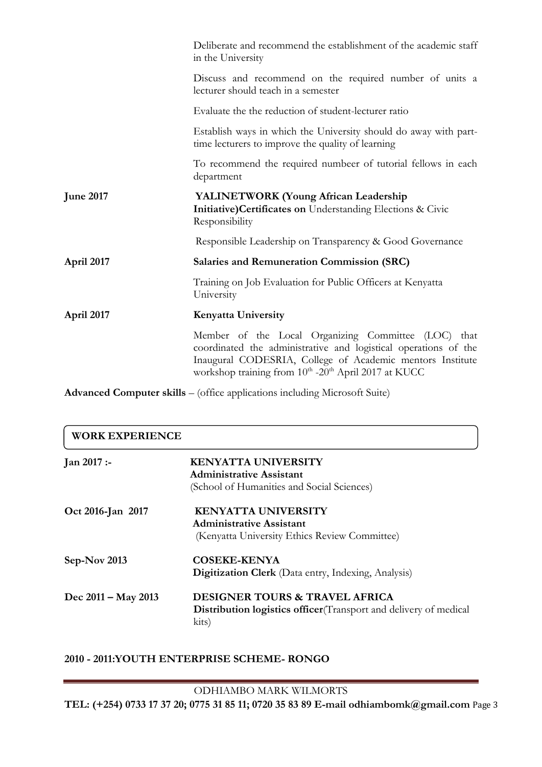|                  | Deliberate and recommend the establishment of the academic staff<br>in the University                                                                                                                                                       |
|------------------|---------------------------------------------------------------------------------------------------------------------------------------------------------------------------------------------------------------------------------------------|
|                  | Discuss and recommend on the required number of units a<br>lecturer should teach in a semester                                                                                                                                              |
|                  | Evaluate the the reduction of student-lecturer ratio                                                                                                                                                                                        |
|                  | Establish ways in which the University should do away with part-<br>time lecturers to improve the quality of learning                                                                                                                       |
|                  | To recommend the required numbeer of tutorial fellows in each<br>department                                                                                                                                                                 |
| <b>June 2017</b> | YALINETWORK (Young African Leadership<br>Initiative) Certificates on Understanding Elections & Civic<br>Responsibility                                                                                                                      |
|                  | Responsible Leadership on Transparency & Good Governance                                                                                                                                                                                    |
| April 2017       | <b>Salaries and Remuneration Commission (SRC)</b>                                                                                                                                                                                           |
|                  | Training on Job Evaluation for Public Officers at Kenyatta<br>University                                                                                                                                                                    |
| April 2017       | <b>Kenyatta University</b>                                                                                                                                                                                                                  |
|                  | Member of the Local Organizing Committee (LOC) that<br>coordinated the administrative and logistical operations of the<br>Inaugural CODESRIA, College of Academic mentors Institute<br>workshop training from 10th -20th April 2017 at KUCC |

**Advanced Computer skills** – (office applications including Microsoft Suite)

| <b>WORK EXPERIENCE</b> |                                                                                                                                |
|------------------------|--------------------------------------------------------------------------------------------------------------------------------|
| $Jan 2017: -$          | <b>KENYATTA UNIVERSITY</b>                                                                                                     |
|                        | Administrative Assistant<br>(School of Humanities and Social Sciences)                                                         |
| Oct 2016-Jan 2017      | <b>KENYATTA UNIVERSITY</b>                                                                                                     |
|                        | Administrative Assistant                                                                                                       |
|                        | (Kenyatta University Ethics Review Committee)                                                                                  |
| Sep-Nov 2013           | <b>COSEKE-KENYA</b>                                                                                                            |
|                        | Digitization Clerk (Data entry, Indexing, Analysis)                                                                            |
| Dec 2011 – May 2013    | <b>DESIGNER TOURS &amp; TRAVEL AFRICA</b><br><b>Distribution logistics officer</b> (Transport and delivery of medical<br>kits) |

## **2010 - 2011:YOUTH ENTERPRISE SCHEME- RONGO**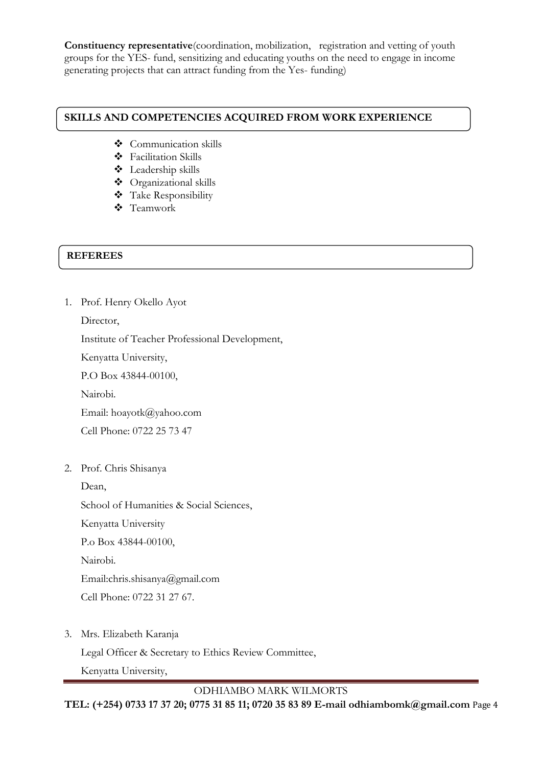**Constituency representative**(coordination, mobilization, registration and vetting of youth groups for the YES- fund, sensitizing and educating youths on the need to engage in income generating projects that can attract funding from the Yes- funding)

### **SKILLS AND COMPETENCIES ACQUIRED FROM WORK EXPERIENCE**

- Communication skills
- Facilitation Skills
- Leadership skills
- Organizational skills
- Take Responsibility
- Teamwork

## **REFEREES**

1. Prof. Henry Okello Ayot

Director,

Institute of Teacher Professional Development,

Kenyatta University,

P.O Box 43844-00100,

Nairobi.

Email: [hoayotk@yahoo.com](mailto:hoayotk@yahoo.com)

Cell Phone: 0722 25 73 47

2. Prof. Chris Shisanya

Dean,

School of Humanities & Social Sciences,

Kenyatta University

P.o Box 43844-00100,

Nairobi.

Email:chris.shisanya@gmail.com

Cell Phone: 0722 31 27 67.

3. Mrs. Elizabeth Karanja

Legal Officer & Secretary to Ethics Review Committee,

Kenyatta University,

ODHIAMBO MARK WILMORTS

**TEL: (+254) 0733 17 37 20; 0775 31 85 11; 0720 35 83 89 E-mail odhiambomk@gmail.com** Page 4